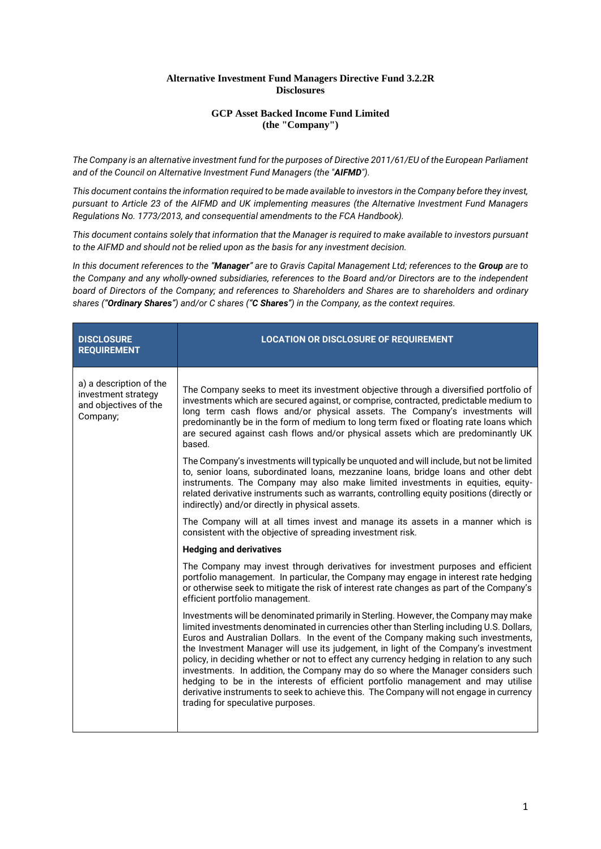## **Alternative Investment Fund Managers Directive Fund 3.2.2R Disclosures**

## **GCP Asset Backed Income Fund Limited (the "Company")**

*The Company is an alternative investment fund for the purposes of Directive 2011/61/EU of the European Parliament and of the Council on Alternative Investment Fund Managers (the "AIFMD").*

*This document contains the information required to be made available to investors in the Company before they invest, pursuant to Article 23 of the AIFMD and UK implementing measures (the Alternative Investment Fund Managers Regulations No. 1773/2013, and consequential amendments to the FCA Handbook).*

*This document contains solely that information that the Manager is required to make available to investors pursuant to the AIFMD and should not be relied upon as the basis for any investment decision.*

*In this document references to the "Manager" are to Gravis Capital Management Ltd; references to the Group are to the Company and any wholly-owned subsidiaries, references to the Board and/or Directors are to the independent board of Directors of the Company; and references to Shareholders and Shares are to shareholders and ordinary shares ("Ordinary Shares") and/or C shares ("C Shares") in the Company, as the context requires.*

| <b>DISCLOSURE</b><br><b>REQUIREMENT</b>                                             | <b>LOCATION OR DISCLOSURE OF REQUIREMENT</b>                                                                                                                                                                                                                                                                                                                                                                                                                                                                                                                                                                                                                                                                                                                        |
|-------------------------------------------------------------------------------------|---------------------------------------------------------------------------------------------------------------------------------------------------------------------------------------------------------------------------------------------------------------------------------------------------------------------------------------------------------------------------------------------------------------------------------------------------------------------------------------------------------------------------------------------------------------------------------------------------------------------------------------------------------------------------------------------------------------------------------------------------------------------|
| a) a description of the<br>investment strategy<br>and objectives of the<br>Company; | The Company seeks to meet its investment objective through a diversified portfolio of<br>investments which are secured against, or comprise, contracted, predictable medium to<br>long term cash flows and/or physical assets. The Company's investments will<br>predominantly be in the form of medium to long term fixed or floating rate loans which<br>are secured against cash flows and/or physical assets which are predominantly UK<br>based.                                                                                                                                                                                                                                                                                                               |
|                                                                                     | The Company's investments will typically be unquoted and will include, but not be limited<br>to, senior loans, subordinated loans, mezzanine loans, bridge loans and other debt<br>instruments. The Company may also make limited investments in equities, equity-<br>related derivative instruments such as warrants, controlling equity positions (directly or<br>indirectly) and/or directly in physical assets.                                                                                                                                                                                                                                                                                                                                                 |
|                                                                                     | The Company will at all times invest and manage its assets in a manner which is<br>consistent with the objective of spreading investment risk.                                                                                                                                                                                                                                                                                                                                                                                                                                                                                                                                                                                                                      |
|                                                                                     | <b>Hedging and derivatives</b>                                                                                                                                                                                                                                                                                                                                                                                                                                                                                                                                                                                                                                                                                                                                      |
|                                                                                     | The Company may invest through derivatives for investment purposes and efficient<br>portfolio management. In particular, the Company may engage in interest rate hedging<br>or otherwise seek to mitigate the risk of interest rate changes as part of the Company's<br>efficient portfolio management.                                                                                                                                                                                                                                                                                                                                                                                                                                                             |
|                                                                                     | Investments will be denominated primarily in Sterling. However, the Company may make<br>limited investments denominated in currencies other than Sterling including U.S. Dollars,<br>Euros and Australian Dollars. In the event of the Company making such investments,<br>the Investment Manager will use its judgement, in light of the Company's investment<br>policy, in deciding whether or not to effect any currency hedging in relation to any such<br>investments. In addition, the Company may do so where the Manager considers such<br>hedging to be in the interests of efficient portfolio management and may utilise<br>derivative instruments to seek to achieve this. The Company will not engage in currency<br>trading for speculative purposes. |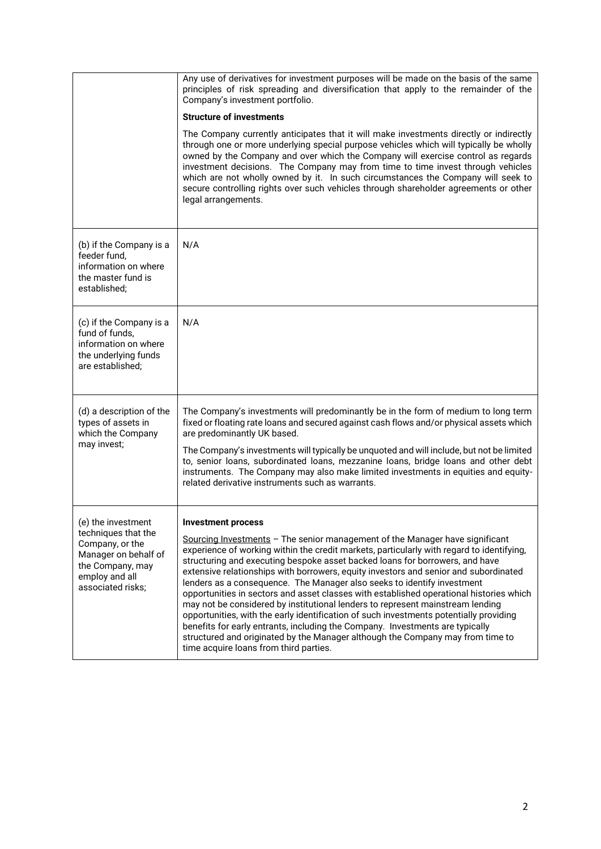|                                                                                                                                                 | Any use of derivatives for investment purposes will be made on the basis of the same<br>principles of risk spreading and diversification that apply to the remainder of the<br>Company's investment portfolio.                                                                                                                                                                                                                                                                                                                                                                                                                                                                                                                                                                                                                                                                                                                                |
|-------------------------------------------------------------------------------------------------------------------------------------------------|-----------------------------------------------------------------------------------------------------------------------------------------------------------------------------------------------------------------------------------------------------------------------------------------------------------------------------------------------------------------------------------------------------------------------------------------------------------------------------------------------------------------------------------------------------------------------------------------------------------------------------------------------------------------------------------------------------------------------------------------------------------------------------------------------------------------------------------------------------------------------------------------------------------------------------------------------|
|                                                                                                                                                 | <b>Structure of investments</b>                                                                                                                                                                                                                                                                                                                                                                                                                                                                                                                                                                                                                                                                                                                                                                                                                                                                                                               |
|                                                                                                                                                 | The Company currently anticipates that it will make investments directly or indirectly<br>through one or more underlying special purpose vehicles which will typically be wholly<br>owned by the Company and over which the Company will exercise control as regards<br>investment decisions. The Company may from time to time invest through vehicles<br>which are not wholly owned by it. In such circumstances the Company will seek to<br>secure controlling rights over such vehicles through shareholder agreements or other<br>legal arrangements.                                                                                                                                                                                                                                                                                                                                                                                    |
| (b) if the Company is a<br>feeder fund,<br>information on where<br>the master fund is<br>established;                                           | N/A                                                                                                                                                                                                                                                                                                                                                                                                                                                                                                                                                                                                                                                                                                                                                                                                                                                                                                                                           |
| (c) if the Company is a<br>fund of funds,<br>information on where<br>the underlying funds<br>are established;                                   | N/A                                                                                                                                                                                                                                                                                                                                                                                                                                                                                                                                                                                                                                                                                                                                                                                                                                                                                                                                           |
| (d) a description of the<br>types of assets in<br>which the Company<br>may invest;                                                              | The Company's investments will predominantly be in the form of medium to long term<br>fixed or floating rate loans and secured against cash flows and/or physical assets which<br>are predominantly UK based.                                                                                                                                                                                                                                                                                                                                                                                                                                                                                                                                                                                                                                                                                                                                 |
|                                                                                                                                                 | The Company's investments will typically be unquoted and will include, but not be limited<br>to, senior loans, subordinated loans, mezzanine loans, bridge loans and other debt<br>instruments. The Company may also make limited investments in equities and equity-<br>related derivative instruments such as warrants.                                                                                                                                                                                                                                                                                                                                                                                                                                                                                                                                                                                                                     |
| (e) the investment<br>techniques that the<br>Company, or the<br>Manager on behalf of<br>the Company, may<br>employ and all<br>associated risks; | <b>Investment process</b><br>Sourcing Investments - The senior management of the Manager have significant<br>experience of working within the credit markets, particularly with regard to identifying,<br>structuring and executing bespoke asset backed loans for borrowers, and have<br>extensive relationships with borrowers, equity investors and senior and subordinated<br>lenders as a consequence. The Manager also seeks to identify investment<br>opportunities in sectors and asset classes with established operational histories which<br>may not be considered by institutional lenders to represent mainstream lending<br>opportunities, with the early identification of such investments potentially providing<br>benefits for early entrants, including the Company. Investments are typically<br>structured and originated by the Manager although the Company may from time to<br>time acquire loans from third parties. |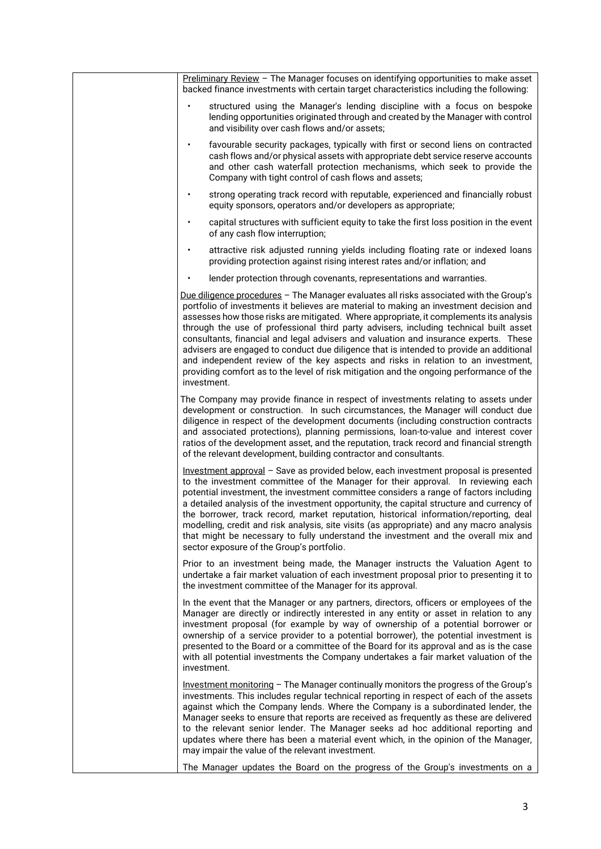| Preliminary Review - The Manager focuses on identifying opportunities to make asset<br>backed finance investments with certain target characteristics including the following:                                                                                                                                                                                                                                                                                                                                                                                                                                                                                                                                                                        |
|-------------------------------------------------------------------------------------------------------------------------------------------------------------------------------------------------------------------------------------------------------------------------------------------------------------------------------------------------------------------------------------------------------------------------------------------------------------------------------------------------------------------------------------------------------------------------------------------------------------------------------------------------------------------------------------------------------------------------------------------------------|
| structured using the Manager's lending discipline with a focus on bespoke<br>lending opportunities originated through and created by the Manager with control<br>and visibility over cash flows and/or assets;                                                                                                                                                                                                                                                                                                                                                                                                                                                                                                                                        |
| favourable security packages, typically with first or second liens on contracted<br>cash flows and/or physical assets with appropriate debt service reserve accounts<br>and other cash waterfall protection mechanisms, which seek to provide the<br>Company with tight control of cash flows and assets;                                                                                                                                                                                                                                                                                                                                                                                                                                             |
| strong operating track record with reputable, experienced and financially robust<br>$\bullet$<br>equity sponsors, operators and/or developers as appropriate;                                                                                                                                                                                                                                                                                                                                                                                                                                                                                                                                                                                         |
| capital structures with sufficient equity to take the first loss position in the event<br>of any cash flow interruption;                                                                                                                                                                                                                                                                                                                                                                                                                                                                                                                                                                                                                              |
| attractive risk adjusted running yields including floating rate or indexed loans<br>$\bullet$<br>providing protection against rising interest rates and/or inflation; and                                                                                                                                                                                                                                                                                                                                                                                                                                                                                                                                                                             |
| lender protection through covenants, representations and warranties.                                                                                                                                                                                                                                                                                                                                                                                                                                                                                                                                                                                                                                                                                  |
| Due diligence procedures - The Manager evaluates all risks associated with the Group's<br>portfolio of investments it believes are material to making an investment decision and<br>assesses how those risks are mitigated. Where appropriate, it complements its analysis<br>through the use of professional third party advisers, including technical built asset<br>consultants, financial and legal advisers and valuation and insurance experts. These<br>advisers are engaged to conduct due diligence that is intended to provide an additional<br>and independent review of the key aspects and risks in relation to an investment,<br>providing comfort as to the level of risk mitigation and the ongoing performance of the<br>investment. |
| The Company may provide finance in respect of investments relating to assets under<br>development or construction. In such circumstances, the Manager will conduct due<br>diligence in respect of the development documents (including construction contracts<br>and associated protections), planning permissions, loan-to-value and interest cover<br>ratios of the development asset, and the reputation, track record and financial strength<br>of the relevant development, building contractor and consultants.                                                                                                                                                                                                                                 |
| Investment approval - Save as provided below, each investment proposal is presented<br>to the investment committee of the Manager for their approval. In reviewing each<br>potential investment, the investment committee considers a range of factors including<br>a detailed analysis of the investment opportunity, the capital structure and currency of<br>the borrower, track record, market reputation, historical information/reporting, deal<br>modelling, credit and risk analysis, site visits (as appropriate) and any macro analysis<br>that might be necessary to fully understand the investment and the overall mix and<br>sector exposure of the Group's portfolio.                                                                  |
| Prior to an investment being made, the Manager instructs the Valuation Agent to<br>undertake a fair market valuation of each investment proposal prior to presenting it to<br>the investment committee of the Manager for its approval.                                                                                                                                                                                                                                                                                                                                                                                                                                                                                                               |
| In the event that the Manager or any partners, directors, officers or employees of the<br>Manager are directly or indirectly interested in any entity or asset in relation to any<br>investment proposal (for example by way of ownership of a potential borrower or<br>ownership of a service provider to a potential borrower), the potential investment is<br>presented to the Board or a committee of the Board for its approval and as is the case<br>with all potential investments the Company undertakes a fair market valuation of the<br>investment.                                                                                                                                                                                        |
| Investment monitoring - The Manager continually monitors the progress of the Group's<br>investments. This includes regular technical reporting in respect of each of the assets<br>against which the Company lends. Where the Company is a subordinated lender, the<br>Manager seeks to ensure that reports are received as frequently as these are delivered<br>to the relevant senior lender. The Manager seeks ad hoc additional reporting and<br>updates where there has been a material event which, in the opinion of the Manager,<br>may impair the value of the relevant investment.                                                                                                                                                          |
| The Manager updates the Board on the progress of the Group's investments on a                                                                                                                                                                                                                                                                                                                                                                                                                                                                                                                                                                                                                                                                         |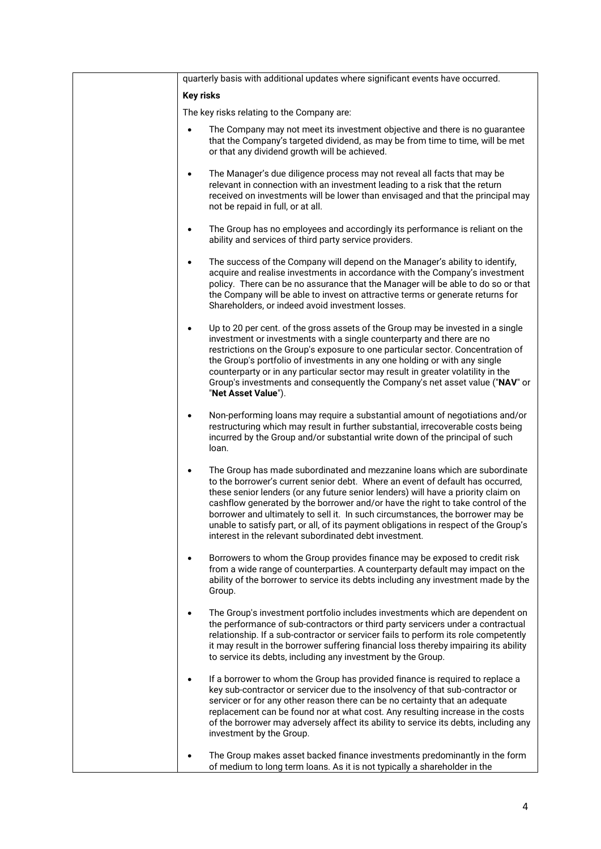| quarterly basis with additional updates where significant events have occurred.                                                                                                                                                                                                                                                                                                                                                                                                                                                                                                      |
|--------------------------------------------------------------------------------------------------------------------------------------------------------------------------------------------------------------------------------------------------------------------------------------------------------------------------------------------------------------------------------------------------------------------------------------------------------------------------------------------------------------------------------------------------------------------------------------|
| <b>Key risks</b>                                                                                                                                                                                                                                                                                                                                                                                                                                                                                                                                                                     |
| The key risks relating to the Company are:                                                                                                                                                                                                                                                                                                                                                                                                                                                                                                                                           |
| The Company may not meet its investment objective and there is no guarantee<br>$\bullet$<br>that the Company's targeted dividend, as may be from time to time, will be met<br>or that any dividend growth will be achieved.                                                                                                                                                                                                                                                                                                                                                          |
| The Manager's due diligence process may not reveal all facts that may be<br>$\bullet$<br>relevant in connection with an investment leading to a risk that the return<br>received on investments will be lower than envisaged and that the principal may<br>not be repaid in full, or at all.                                                                                                                                                                                                                                                                                         |
| The Group has no employees and accordingly its performance is reliant on the<br>$\bullet$<br>ability and services of third party service providers.                                                                                                                                                                                                                                                                                                                                                                                                                                  |
| The success of the Company will depend on the Manager's ability to identify,<br>$\bullet$<br>acquire and realise investments in accordance with the Company's investment<br>policy. There can be no assurance that the Manager will be able to do so or that<br>the Company will be able to invest on attractive terms or generate returns for<br>Shareholders, or indeed avoid investment losses.                                                                                                                                                                                   |
| Up to 20 per cent. of the gross assets of the Group may be invested in a single<br>$\bullet$<br>investment or investments with a single counterparty and there are no<br>restrictions on the Group's exposure to one particular sector. Concentration of<br>the Group's portfolio of investments in any one holding or with any single<br>counterparty or in any particular sector may result in greater volatility in the<br>Group's investments and consequently the Company's net asset value ("NAV" or<br>"Net Asset Value").                                                    |
| Non-performing loans may require a substantial amount of negotiations and/or<br>$\bullet$<br>restructuring which may result in further substantial, irrecoverable costs being<br>incurred by the Group and/or substantial write down of the principal of such<br>loan.                                                                                                                                                                                                                                                                                                               |
| The Group has made subordinated and mezzanine loans which are subordinate<br>$\bullet$<br>to the borrower's current senior debt. Where an event of default has occurred,<br>these senior lenders (or any future senior lenders) will have a priority claim on<br>cashflow generated by the borrower and/or have the right to take control of the<br>borrower and ultimately to sell it. In such circumstances, the borrower may be<br>unable to satisfy part, or all, of its payment obligations in respect of the Group's<br>interest in the relevant subordinated debt investment. |
| Borrowers to whom the Group provides finance may be exposed to credit risk<br>$\bullet$<br>from a wide range of counterparties. A counterparty default may impact on the<br>ability of the borrower to service its debts including any investment made by the<br>Group.                                                                                                                                                                                                                                                                                                              |
| The Group's investment portfolio includes investments which are dependent on<br>$\bullet$<br>the performance of sub-contractors or third party servicers under a contractual<br>relationship. If a sub-contractor or servicer fails to perform its role competently<br>it may result in the borrower suffering financial loss thereby impairing its ability<br>to service its debts, including any investment by the Group.                                                                                                                                                          |
| If a borrower to whom the Group has provided finance is required to replace a<br>$\bullet$<br>key sub-contractor or servicer due to the insolvency of that sub-contractor or<br>servicer or for any other reason there can be no certainty that an adequate<br>replacement can be found nor at what cost. Any resulting increase in the costs<br>of the borrower may adversely affect its ability to service its debts, including any<br>investment by the Group.                                                                                                                    |
| The Group makes asset backed finance investments predominantly in the form<br>of medium to long term loans. As it is not typically a shareholder in the                                                                                                                                                                                                                                                                                                                                                                                                                              |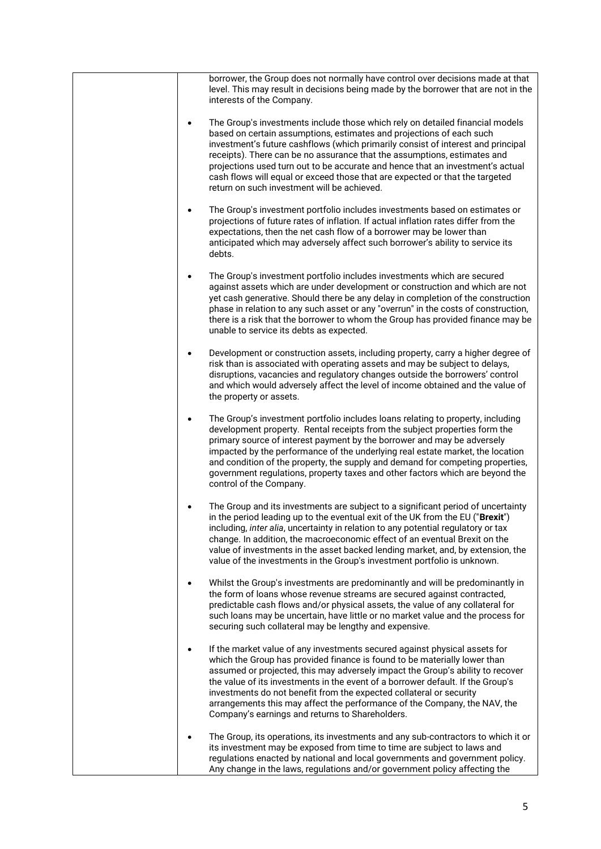|           | borrower, the Group does not normally have control over decisions made at that<br>level. This may result in decisions being made by the borrower that are not in the<br>interests of the Company.                                                                                                                                                                                                                                                                                                                                      |
|-----------|----------------------------------------------------------------------------------------------------------------------------------------------------------------------------------------------------------------------------------------------------------------------------------------------------------------------------------------------------------------------------------------------------------------------------------------------------------------------------------------------------------------------------------------|
| $\bullet$ | The Group's investments include those which rely on detailed financial models<br>based on certain assumptions, estimates and projections of each such<br>investment's future cashflows (which primarily consist of interest and principal<br>receipts). There can be no assurance that the assumptions, estimates and<br>projections used turn out to be accurate and hence that an investment's actual<br>cash flows will equal or exceed those that are expected or that the targeted<br>return on such investment will be achieved. |
| $\bullet$ | The Group's investment portfolio includes investments based on estimates or<br>projections of future rates of inflation. If actual inflation rates differ from the<br>expectations, then the net cash flow of a borrower may be lower than<br>anticipated which may adversely affect such borrower's ability to service its<br>debts.                                                                                                                                                                                                  |
|           | The Group's investment portfolio includes investments which are secured<br>against assets which are under development or construction and which are not<br>yet cash generative. Should there be any delay in completion of the construction<br>phase in relation to any such asset or any "overrun" in the costs of construction,<br>there is a risk that the borrower to whom the Group has provided finance may be<br>unable to service its debts as expected.                                                                       |
| $\bullet$ | Development or construction assets, including property, carry a higher degree of<br>risk than is associated with operating assets and may be subject to delays,<br>disruptions, vacancies and regulatory changes outside the borrowers' control<br>and which would adversely affect the level of income obtained and the value of<br>the property or assets.                                                                                                                                                                           |
| $\bullet$ | The Group's investment portfolio includes loans relating to property, including<br>development property. Rental receipts from the subject properties form the<br>primary source of interest payment by the borrower and may be adversely<br>impacted by the performance of the underlying real estate market, the location<br>and condition of the property, the supply and demand for competing properties,<br>government regulations, property taxes and other factors which are beyond the<br>control of the Company.               |
|           | The Group and its investments are subject to a significant period of uncertainty<br>in the period leading up to the eventual exit of the UK from the EU ("Brexit")<br>including, inter alia, uncertainty in relation to any potential regulatory or tax<br>change. In addition, the macroeconomic effect of an eventual Brexit on the<br>value of investments in the asset backed lending market, and, by extension, the<br>value of the investments in the Group's investment portfolio is unknown.                                   |
|           | Whilst the Group's investments are predominantly and will be predominantly in<br>the form of loans whose revenue streams are secured against contracted,<br>predictable cash flows and/or physical assets, the value of any collateral for<br>such loans may be uncertain, have little or no market value and the process for<br>securing such collateral may be lengthy and expensive.                                                                                                                                                |
| $\bullet$ | If the market value of any investments secured against physical assets for<br>which the Group has provided finance is found to be materially lower than<br>assumed or projected, this may adversely impact the Group's ability to recover<br>the value of its investments in the event of a borrower default. If the Group's<br>investments do not benefit from the expected collateral or security<br>arrangements this may affect the performance of the Company, the NAV, the<br>Company's earnings and returns to Shareholders.    |
|           | The Group, its operations, its investments and any sub-contractors to which it or<br>its investment may be exposed from time to time are subject to laws and<br>regulations enacted by national and local governments and government policy.<br>Any change in the laws, regulations and/or government policy affecting the                                                                                                                                                                                                             |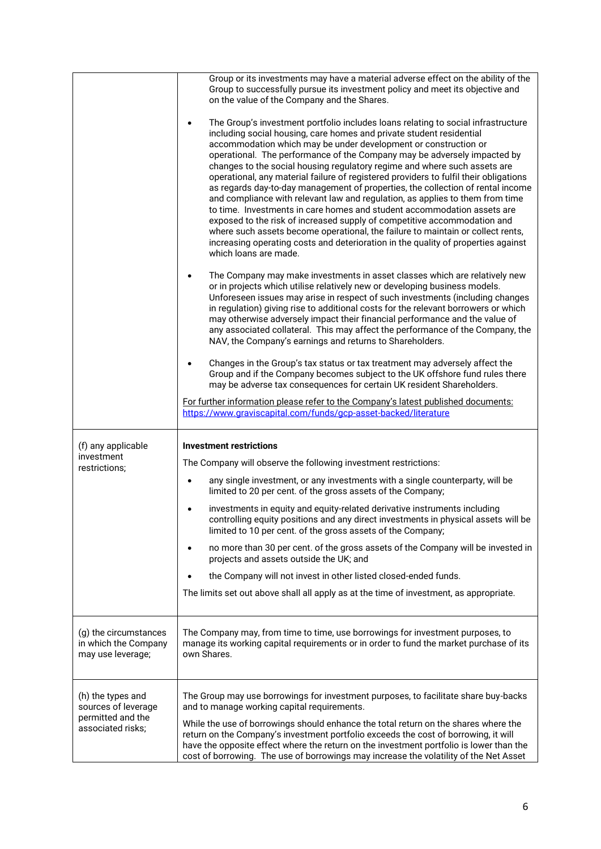|                                                                    | Group or its investments may have a material adverse effect on the ability of the<br>Group to successfully pursue its investment policy and meet its objective and<br>on the value of the Company and the Shares.                                                                                                                                                                                                                                                                                                                                                                                                                                                                                                                                                                                                                                                                                                                                                                                          |
|--------------------------------------------------------------------|------------------------------------------------------------------------------------------------------------------------------------------------------------------------------------------------------------------------------------------------------------------------------------------------------------------------------------------------------------------------------------------------------------------------------------------------------------------------------------------------------------------------------------------------------------------------------------------------------------------------------------------------------------------------------------------------------------------------------------------------------------------------------------------------------------------------------------------------------------------------------------------------------------------------------------------------------------------------------------------------------------|
|                                                                    | The Group's investment portfolio includes loans relating to social infrastructure<br>including social housing, care homes and private student residential<br>accommodation which may be under development or construction or<br>operational. The performance of the Company may be adversely impacted by<br>changes to the social housing regulatory regime and where such assets are<br>operational, any material failure of registered providers to fulfil their obligations<br>as regards day-to-day management of properties, the collection of rental income<br>and compliance with relevant law and regulation, as applies to them from time<br>to time. Investments in care homes and student accommodation assets are<br>exposed to the risk of increased supply of competitive accommodation and<br>where such assets become operational, the failure to maintain or collect rents,<br>increasing operating costs and deterioration in the quality of properties against<br>which loans are made. |
|                                                                    | The Company may make investments in asset classes which are relatively new<br>or in projects which utilise relatively new or developing business models.<br>Unforeseen issues may arise in respect of such investments (including changes<br>in regulation) giving rise to additional costs for the relevant borrowers or which<br>may otherwise adversely impact their financial performance and the value of<br>any associated collateral. This may affect the performance of the Company, the<br>NAV, the Company's earnings and returns to Shareholders.                                                                                                                                                                                                                                                                                                                                                                                                                                               |
|                                                                    | Changes in the Group's tax status or tax treatment may adversely affect the<br>Group and if the Company becomes subject to the UK offshore fund rules there<br>may be adverse tax consequences for certain UK resident Shareholders.                                                                                                                                                                                                                                                                                                                                                                                                                                                                                                                                                                                                                                                                                                                                                                       |
|                                                                    | For further information please refer to the Company's latest published documents:<br>https://www.graviscapital.com/funds/gcp-asset-backed/literature                                                                                                                                                                                                                                                                                                                                                                                                                                                                                                                                                                                                                                                                                                                                                                                                                                                       |
| (f) any applicable<br>investment                                   | <b>Investment restrictions</b>                                                                                                                                                                                                                                                                                                                                                                                                                                                                                                                                                                                                                                                                                                                                                                                                                                                                                                                                                                             |
| restrictions;                                                      | The Company will observe the following investment restrictions:<br>any single investment, or any investments with a single counterparty, will be<br>$\bullet$                                                                                                                                                                                                                                                                                                                                                                                                                                                                                                                                                                                                                                                                                                                                                                                                                                              |
|                                                                    | limited to 20 per cent. of the gross assets of the Company;<br>investments in equity and equity-related derivative instruments including<br>controlling equity positions and any direct investments in physical assets will be<br>limited to 10 per cent. of the gross assets of the Company;                                                                                                                                                                                                                                                                                                                                                                                                                                                                                                                                                                                                                                                                                                              |
|                                                                    | no more than 30 per cent. of the gross assets of the Company will be invested in<br>projects and assets outside the UK; and                                                                                                                                                                                                                                                                                                                                                                                                                                                                                                                                                                                                                                                                                                                                                                                                                                                                                |
|                                                                    | the Company will not invest in other listed closed-ended funds.<br>$\bullet$                                                                                                                                                                                                                                                                                                                                                                                                                                                                                                                                                                                                                                                                                                                                                                                                                                                                                                                               |
|                                                                    | The limits set out above shall all apply as at the time of investment, as appropriate.                                                                                                                                                                                                                                                                                                                                                                                                                                                                                                                                                                                                                                                                                                                                                                                                                                                                                                                     |
| (g) the circumstances<br>in which the Company<br>may use leverage; | The Company may, from time to time, use borrowings for investment purposes, to<br>manage its working capital requirements or in order to fund the market purchase of its<br>own Shares.                                                                                                                                                                                                                                                                                                                                                                                                                                                                                                                                                                                                                                                                                                                                                                                                                    |
| (h) the types and<br>sources of leverage                           | The Group may use borrowings for investment purposes, to facilitate share buy-backs<br>and to manage working capital requirements.                                                                                                                                                                                                                                                                                                                                                                                                                                                                                                                                                                                                                                                                                                                                                                                                                                                                         |
| permitted and the<br>associated risks;                             | While the use of borrowings should enhance the total return on the shares where the<br>return on the Company's investment portfolio exceeds the cost of borrowing, it will<br>have the opposite effect where the return on the investment portfolio is lower than the<br>cost of borrowing. The use of borrowings may increase the volatility of the Net Asset                                                                                                                                                                                                                                                                                                                                                                                                                                                                                                                                                                                                                                             |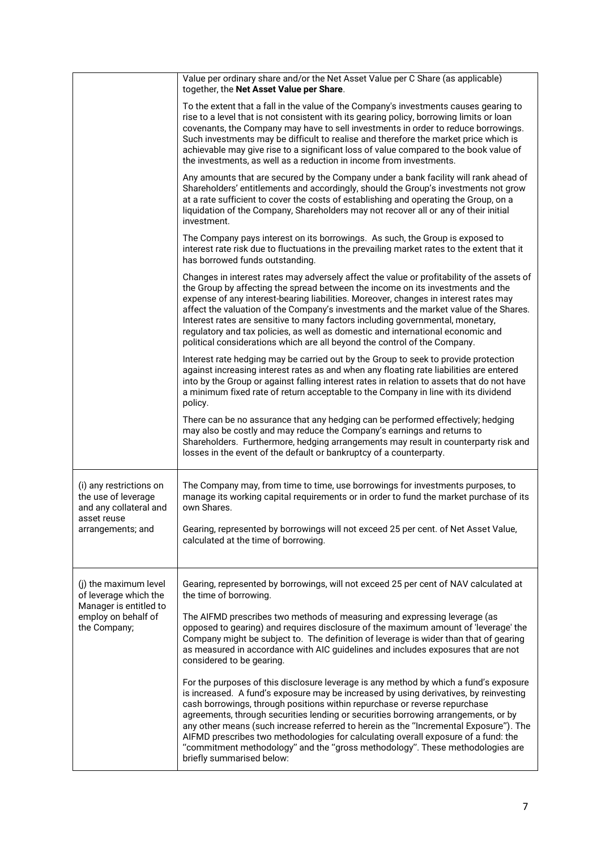|                                                                                                                 | Value per ordinary share and/or the Net Asset Value per C Share (as applicable)<br>together, the Net Asset Value per Share.                                                                                                                                                                                                                                                                                                                                                                                                                                                                                                                     |
|-----------------------------------------------------------------------------------------------------------------|-------------------------------------------------------------------------------------------------------------------------------------------------------------------------------------------------------------------------------------------------------------------------------------------------------------------------------------------------------------------------------------------------------------------------------------------------------------------------------------------------------------------------------------------------------------------------------------------------------------------------------------------------|
|                                                                                                                 | To the extent that a fall in the value of the Company's investments causes gearing to<br>rise to a level that is not consistent with its gearing policy, borrowing limits or loan<br>covenants, the Company may have to sell investments in order to reduce borrowings.<br>Such investments may be difficult to realise and therefore the market price which is<br>achievable may give rise to a significant loss of value compared to the book value of<br>the investments, as well as a reduction in income from investments.                                                                                                                 |
|                                                                                                                 | Any amounts that are secured by the Company under a bank facility will rank ahead of<br>Shareholders' entitlements and accordingly, should the Group's investments not grow<br>at a rate sufficient to cover the costs of establishing and operating the Group, on a<br>liquidation of the Company, Shareholders may not recover all or any of their initial<br>investment.                                                                                                                                                                                                                                                                     |
|                                                                                                                 | The Company pays interest on its borrowings. As such, the Group is exposed to<br>interest rate risk due to fluctuations in the prevailing market rates to the extent that it<br>has borrowed funds outstanding.                                                                                                                                                                                                                                                                                                                                                                                                                                 |
|                                                                                                                 | Changes in interest rates may adversely affect the value or profitability of the assets of<br>the Group by affecting the spread between the income on its investments and the<br>expense of any interest-bearing liabilities. Moreover, changes in interest rates may<br>affect the valuation of the Company's investments and the market value of the Shares.<br>Interest rates are sensitive to many factors including governmental, monetary,<br>regulatory and tax policies, as well as domestic and international economic and<br>political considerations which are all beyond the control of the Company.                                |
|                                                                                                                 | Interest rate hedging may be carried out by the Group to seek to provide protection<br>against increasing interest rates as and when any floating rate liabilities are entered<br>into by the Group or against falling interest rates in relation to assets that do not have<br>a minimum fixed rate of return acceptable to the Company in line with its dividend<br>policy.                                                                                                                                                                                                                                                                   |
|                                                                                                                 | There can be no assurance that any hedging can be performed effectively; hedging<br>may also be costly and may reduce the Company's earnings and returns to<br>Shareholders. Furthermore, hedging arrangements may result in counterparty risk and<br>losses in the event of the default or bankruptcy of a counterparty.                                                                                                                                                                                                                                                                                                                       |
| (i) any restrictions on<br>the use of leverage<br>and any collateral and<br>asset reuse<br>arrangements; and    | The Company may, from time to time, use borrowings for investments purposes, to<br>manage its working capital requirements or in order to fund the market purchase of its<br>own Shares.                                                                                                                                                                                                                                                                                                                                                                                                                                                        |
|                                                                                                                 | Gearing, represented by borrowings will not exceed 25 per cent. of Net Asset Value,<br>calculated at the time of borrowing.                                                                                                                                                                                                                                                                                                                                                                                                                                                                                                                     |
| (j) the maximum level<br>of leverage which the<br>Manager is entitled to<br>employ on behalf of<br>the Company; | Gearing, represented by borrowings, will not exceed 25 per cent of NAV calculated at<br>the time of borrowing.                                                                                                                                                                                                                                                                                                                                                                                                                                                                                                                                  |
|                                                                                                                 | The AIFMD prescribes two methods of measuring and expressing leverage (as<br>opposed to gearing) and requires disclosure of the maximum amount of 'leverage' the<br>Company might be subject to. The definition of leverage is wider than that of gearing<br>as measured in accordance with AIC guidelines and includes exposures that are not<br>considered to be gearing.                                                                                                                                                                                                                                                                     |
|                                                                                                                 | For the purposes of this disclosure leverage is any method by which a fund's exposure<br>is increased. A fund's exposure may be increased by using derivatives, by reinvesting<br>cash borrowings, through positions within repurchase or reverse repurchase<br>agreements, through securities lending or securities borrowing arrangements, or by<br>any other means (such increase referred to herein as the "Incremental Exposure"). The<br>AIFMD prescribes two methodologies for calculating overall exposure of a fund: the<br>"commitment methodology" and the "gross methodology". These methodologies are<br>briefly summarised below: |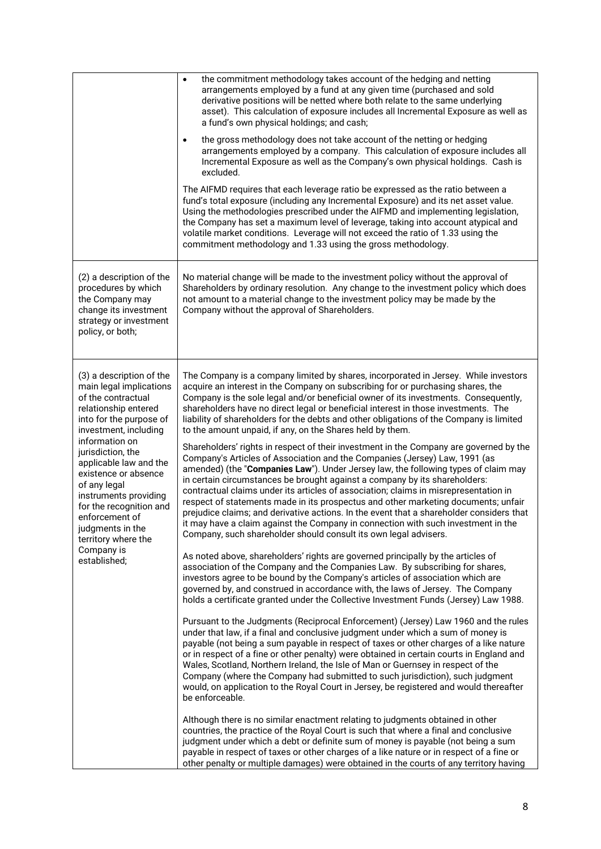|                                                                                                                                                                                                                                                                                                                                                                                                               | the commitment methodology takes account of the hedging and netting<br>$\bullet$<br>arrangements employed by a fund at any given time (purchased and sold<br>derivative positions will be netted where both relate to the same underlying<br>asset). This calculation of exposure includes all Incremental Exposure as well as<br>a fund's own physical holdings; and cash;<br>the gross methodology does not take account of the netting or hedging<br>$\bullet$<br>arrangements employed by a company. This calculation of exposure includes all<br>Incremental Exposure as well as the Company's own physical holdings. Cash is<br>excluded.<br>The AIFMD requires that each leverage ratio be expressed as the ratio between a<br>fund's total exposure (including any Incremental Exposure) and its net asset value.<br>Using the methodologies prescribed under the AIFMD and implementing legislation,<br>the Company has set a maximum level of leverage, taking into account atypical and<br>volatile market conditions. Leverage will not exceed the ratio of 1.33 using the<br>commitment methodology and 1.33 using the gross methodology.                                                                                                                                                                                                                                                                                                                                                                                                                                                                                                                                                                                                                                                                                                                                                                                                                                                                                                                                                                                                                                                                                                                                                                                                                                                                                                                                                                                                                                                                                                                                                                                                                                                                           |
|---------------------------------------------------------------------------------------------------------------------------------------------------------------------------------------------------------------------------------------------------------------------------------------------------------------------------------------------------------------------------------------------------------------|----------------------------------------------------------------------------------------------------------------------------------------------------------------------------------------------------------------------------------------------------------------------------------------------------------------------------------------------------------------------------------------------------------------------------------------------------------------------------------------------------------------------------------------------------------------------------------------------------------------------------------------------------------------------------------------------------------------------------------------------------------------------------------------------------------------------------------------------------------------------------------------------------------------------------------------------------------------------------------------------------------------------------------------------------------------------------------------------------------------------------------------------------------------------------------------------------------------------------------------------------------------------------------------------------------------------------------------------------------------------------------------------------------------------------------------------------------------------------------------------------------------------------------------------------------------------------------------------------------------------------------------------------------------------------------------------------------------------------------------------------------------------------------------------------------------------------------------------------------------------------------------------------------------------------------------------------------------------------------------------------------------------------------------------------------------------------------------------------------------------------------------------------------------------------------------------------------------------------------------------------------------------------------------------------------------------------------------------------------------------------------------------------------------------------------------------------------------------------------------------------------------------------------------------------------------------------------------------------------------------------------------------------------------------------------------------------------------------------------------------------------------------------------------------------------------------------------|
| (2) a description of the<br>procedures by which<br>the Company may<br>change its investment<br>strategy or investment<br>policy, or both;                                                                                                                                                                                                                                                                     | No material change will be made to the investment policy without the approval of<br>Shareholders by ordinary resolution. Any change to the investment policy which does<br>not amount to a material change to the investment policy may be made by the<br>Company without the approval of Shareholders.                                                                                                                                                                                                                                                                                                                                                                                                                                                                                                                                                                                                                                                                                                                                                                                                                                                                                                                                                                                                                                                                                                                                                                                                                                                                                                                                                                                                                                                                                                                                                                                                                                                                                                                                                                                                                                                                                                                                                                                                                                                                                                                                                                                                                                                                                                                                                                                                                                                                                                                          |
| (3) a description of the<br>main legal implications<br>of the contractual<br>relationship entered<br>into for the purpose of<br>investment, including<br>information on<br>jurisdiction, the<br>applicable law and the<br>existence or absence<br>of any legal<br>instruments providing<br>for the recognition and<br>enforcement of<br>judgments in the<br>territory where the<br>Company is<br>established; | The Company is a company limited by shares, incorporated in Jersey. While investors<br>acquire an interest in the Company on subscribing for or purchasing shares, the<br>Company is the sole legal and/or beneficial owner of its investments. Consequently,<br>shareholders have no direct legal or beneficial interest in those investments. The<br>liability of shareholders for the debts and other obligations of the Company is limited<br>to the amount unpaid, if any, on the Shares held by them.<br>Shareholders' rights in respect of their investment in the Company are governed by the<br>Company's Articles of Association and the Companies (Jersey) Law, 1991 (as<br>amended) (the "Companies Law"). Under Jersey law, the following types of claim may<br>in certain circumstances be brought against a company by its shareholders:<br>contractual claims under its articles of association; claims in misrepresentation in<br>respect of statements made in its prospectus and other marketing documents; unfair<br>prejudice claims; and derivative actions. In the event that a shareholder considers that<br>it may have a claim against the Company in connection with such investment in the<br>Company, such shareholder should consult its own legal advisers.<br>As noted above, shareholders' rights are governed principally by the articles of<br>association of the Company and the Companies Law. By subscribing for shares,<br>investors agree to be bound by the Company's articles of association which are<br>governed by, and construed in accordance with, the laws of Jersey. The Company<br>holds a certificate granted under the Collective Investment Funds (Jersey) Law 1988.<br>Pursuant to the Judgments (Reciprocal Enforcement) (Jersey) Law 1960 and the rules<br>under that law, if a final and conclusive judgment under which a sum of money is<br>payable (not being a sum payable in respect of taxes or other charges of a like nature<br>or in respect of a fine or other penalty) were obtained in certain courts in England and<br>Wales, Scotland, Northern Ireland, the Isle of Man or Guernsey in respect of the<br>Company (where the Company had submitted to such jurisdiction), such judgment<br>would, on application to the Royal Court in Jersey, be registered and would thereafter<br>be enforceable.<br>Although there is no similar enactment relating to judgments obtained in other<br>countries, the practice of the Royal Court is such that where a final and conclusive<br>judgment under which a debt or definite sum of money is payable (not being a sum<br>payable in respect of taxes or other charges of a like nature or in respect of a fine or<br>other penalty or multiple damages) were obtained in the courts of any territory having |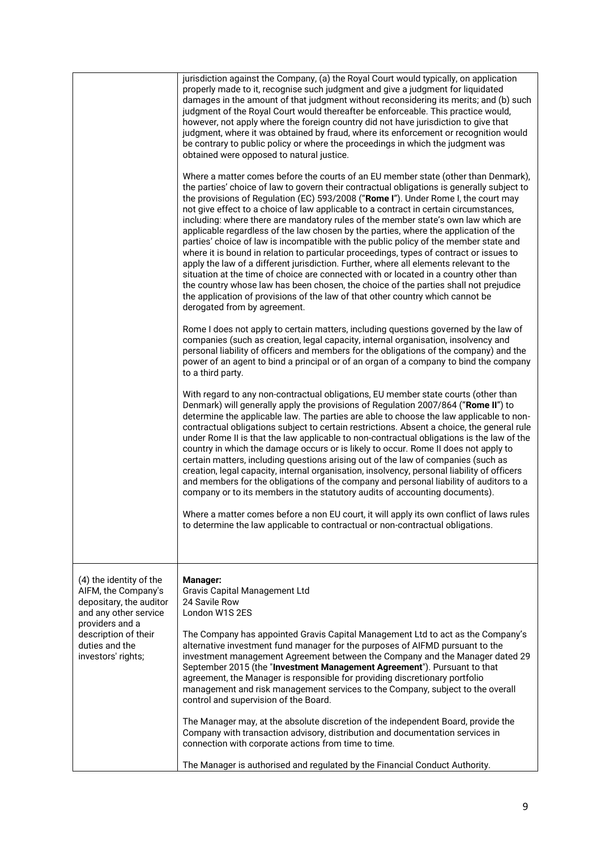|                                                                                                                                                                                       | jurisdiction against the Company, (a) the Royal Court would typically, on application<br>properly made to it, recognise such judgment and give a judgment for liquidated<br>damages in the amount of that judgment without reconsidering its merits; and (b) such<br>judgment of the Royal Court would thereafter be enforceable. This practice would,<br>however, not apply where the foreign country did not have jurisdiction to give that<br>judgment, where it was obtained by fraud, where its enforcement or recognition would<br>be contrary to public policy or where the proceedings in which the judgment was<br>obtained were opposed to natural justice.<br>Where a matter comes before the courts of an EU member state (other than Denmark),<br>the parties' choice of law to govern their contractual obligations is generally subject to<br>the provisions of Regulation (EC) 593/2008 ("Rome I"). Under Rome I, the court may<br>not give effect to a choice of law applicable to a contract in certain circumstances,<br>including: where there are mandatory rules of the member state's own law which are |
|---------------------------------------------------------------------------------------------------------------------------------------------------------------------------------------|--------------------------------------------------------------------------------------------------------------------------------------------------------------------------------------------------------------------------------------------------------------------------------------------------------------------------------------------------------------------------------------------------------------------------------------------------------------------------------------------------------------------------------------------------------------------------------------------------------------------------------------------------------------------------------------------------------------------------------------------------------------------------------------------------------------------------------------------------------------------------------------------------------------------------------------------------------------------------------------------------------------------------------------------------------------------------------------------------------------------------------|
|                                                                                                                                                                                       | applicable regardless of the law chosen by the parties, where the application of the<br>parties' choice of law is incompatible with the public policy of the member state and<br>where it is bound in relation to particular proceedings, types of contract or issues to<br>apply the law of a different jurisdiction. Further, where all elements relevant to the<br>situation at the time of choice are connected with or located in a country other than<br>the country whose law has been chosen, the choice of the parties shall not prejudice<br>the application of provisions of the law of that other country which cannot be<br>derogated from by agreement.                                                                                                                                                                                                                                                                                                                                                                                                                                                          |
|                                                                                                                                                                                       | Rome I does not apply to certain matters, including questions governed by the law of<br>companies (such as creation, legal capacity, internal organisation, insolvency and<br>personal liability of officers and members for the obligations of the company) and the<br>power of an agent to bind a principal or of an organ of a company to bind the company<br>to a third party.                                                                                                                                                                                                                                                                                                                                                                                                                                                                                                                                                                                                                                                                                                                                             |
|                                                                                                                                                                                       | With regard to any non-contractual obligations, EU member state courts (other than<br>Denmark) will generally apply the provisions of Regulation 2007/864 ("Rome II") to<br>determine the applicable law. The parties are able to choose the law applicable to non-<br>contractual obligations subject to certain restrictions. Absent a choice, the general rule<br>under Rome II is that the law applicable to non-contractual obligations is the law of the<br>country in which the damage occurs or is likely to occur. Rome II does not apply to<br>certain matters, including questions arising out of the law of companies (such as<br>creation, legal capacity, internal organisation, insolvency, personal liability of officers<br>and members for the obligations of the company and personal liability of auditors to a<br>company or to its members in the statutory audits of accounting documents).<br>Where a matter comes before a non EU court, it will apply its own conflict of laws rules                                                                                                                 |
|                                                                                                                                                                                       | to determine the law applicable to contractual or non-contractual obligations.                                                                                                                                                                                                                                                                                                                                                                                                                                                                                                                                                                                                                                                                                                                                                                                                                                                                                                                                                                                                                                                 |
| (4) the identity of the<br>AIFM, the Company's<br>depositary, the auditor<br>and any other service<br>providers and a<br>description of their<br>duties and the<br>investors' rights; | Manager:<br><b>Gravis Capital Management Ltd</b><br>24 Savile Row<br>London W1S 2ES                                                                                                                                                                                                                                                                                                                                                                                                                                                                                                                                                                                                                                                                                                                                                                                                                                                                                                                                                                                                                                            |
|                                                                                                                                                                                       | The Company has appointed Gravis Capital Management Ltd to act as the Company's<br>alternative investment fund manager for the purposes of AIFMD pursuant to the<br>investment management Agreement between the Company and the Manager dated 29<br>September 2015 (the "Investment Management Agreement"). Pursuant to that<br>agreement, the Manager is responsible for providing discretionary portfolio<br>management and risk management services to the Company, subject to the overall<br>control and supervision of the Board.                                                                                                                                                                                                                                                                                                                                                                                                                                                                                                                                                                                         |
|                                                                                                                                                                                       | The Manager may, at the absolute discretion of the independent Board, provide the<br>Company with transaction advisory, distribution and documentation services in<br>connection with corporate actions from time to time.                                                                                                                                                                                                                                                                                                                                                                                                                                                                                                                                                                                                                                                                                                                                                                                                                                                                                                     |
|                                                                                                                                                                                       | The Manager is authorised and regulated by the Financial Conduct Authority.                                                                                                                                                                                                                                                                                                                                                                                                                                                                                                                                                                                                                                                                                                                                                                                                                                                                                                                                                                                                                                                    |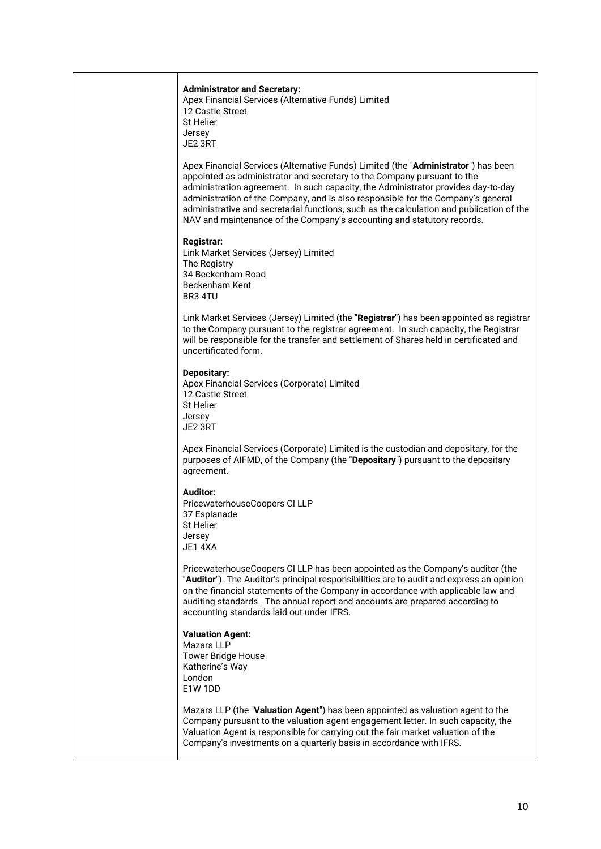| <b>Administrator and Secretary:</b>                                                                                                                                                                                                                                                                                                                                                                                                                                                                          |
|--------------------------------------------------------------------------------------------------------------------------------------------------------------------------------------------------------------------------------------------------------------------------------------------------------------------------------------------------------------------------------------------------------------------------------------------------------------------------------------------------------------|
| Apex Financial Services (Alternative Funds) Limited<br>12 Castle Street                                                                                                                                                                                                                                                                                                                                                                                                                                      |
| <b>St Helier</b>                                                                                                                                                                                                                                                                                                                                                                                                                                                                                             |
| Jersey<br>JE2 3RT                                                                                                                                                                                                                                                                                                                                                                                                                                                                                            |
|                                                                                                                                                                                                                                                                                                                                                                                                                                                                                                              |
| Apex Financial Services (Alternative Funds) Limited (the "Administrator") has been<br>appointed as administrator and secretary to the Company pursuant to the<br>administration agreement. In such capacity, the Administrator provides day-to-day<br>administration of the Company, and is also responsible for the Company's general<br>administrative and secretarial functions, such as the calculation and publication of the<br>NAV and maintenance of the Company's accounting and statutory records. |
| <b>Registrar:</b>                                                                                                                                                                                                                                                                                                                                                                                                                                                                                            |
| Link Market Services (Jersey) Limited<br>The Registry                                                                                                                                                                                                                                                                                                                                                                                                                                                        |
| 34 Beckenham Road                                                                                                                                                                                                                                                                                                                                                                                                                                                                                            |
| Beckenham Kent<br>BR <sub>3</sub> 4TU                                                                                                                                                                                                                                                                                                                                                                                                                                                                        |
|                                                                                                                                                                                                                                                                                                                                                                                                                                                                                                              |
| Link Market Services (Jersey) Limited (the "Registrar") has been appointed as registrar<br>to the Company pursuant to the registrar agreement. In such capacity, the Registrar<br>will be responsible for the transfer and settlement of Shares held in certificated and<br>uncertificated form.                                                                                                                                                                                                             |
| Depositary:                                                                                                                                                                                                                                                                                                                                                                                                                                                                                                  |
| Apex Financial Services (Corporate) Limited                                                                                                                                                                                                                                                                                                                                                                                                                                                                  |
| 12 Castle Street<br><b>St Helier</b>                                                                                                                                                                                                                                                                                                                                                                                                                                                                         |
| Jersey                                                                                                                                                                                                                                                                                                                                                                                                                                                                                                       |
| JE2 3RT                                                                                                                                                                                                                                                                                                                                                                                                                                                                                                      |
| Apex Financial Services (Corporate) Limited is the custodian and depositary, for the<br>purposes of AIFMD, of the Company (the "Depositary") pursuant to the depositary<br>agreement.                                                                                                                                                                                                                                                                                                                        |
| Auditor:                                                                                                                                                                                                                                                                                                                                                                                                                                                                                                     |
| PricewaterhouseCoopers CI LLP                                                                                                                                                                                                                                                                                                                                                                                                                                                                                |
| 37 Esplanade<br><b>St Helier</b>                                                                                                                                                                                                                                                                                                                                                                                                                                                                             |
| Jersey                                                                                                                                                                                                                                                                                                                                                                                                                                                                                                       |
| JE1 4XA                                                                                                                                                                                                                                                                                                                                                                                                                                                                                                      |
| PricewaterhouseCoopers CI LLP has been appointed as the Company's auditor (the<br>"Auditor"). The Auditor's principal responsibilities are to audit and express an opinion<br>on the financial statements of the Company in accordance with applicable law and<br>auditing standards. The annual report and accounts are prepared according to<br>accounting standards laid out under IFRS.                                                                                                                  |
| <b>Valuation Agent:</b>                                                                                                                                                                                                                                                                                                                                                                                                                                                                                      |
| Mazars LLP                                                                                                                                                                                                                                                                                                                                                                                                                                                                                                   |
| <b>Tower Bridge House</b><br>Katherine's Way                                                                                                                                                                                                                                                                                                                                                                                                                                                                 |
| London                                                                                                                                                                                                                                                                                                                                                                                                                                                                                                       |
| <b>E1W 1DD</b>                                                                                                                                                                                                                                                                                                                                                                                                                                                                                               |
| Mazars LLP (the "Valuation Agent") has been appointed as valuation agent to the<br>Company pursuant to the valuation agent engagement letter. In such capacity, the<br>Valuation Agent is responsible for carrying out the fair market valuation of the<br>Company's investments on a quarterly basis in accordance with IFRS.                                                                                                                                                                               |
|                                                                                                                                                                                                                                                                                                                                                                                                                                                                                                              |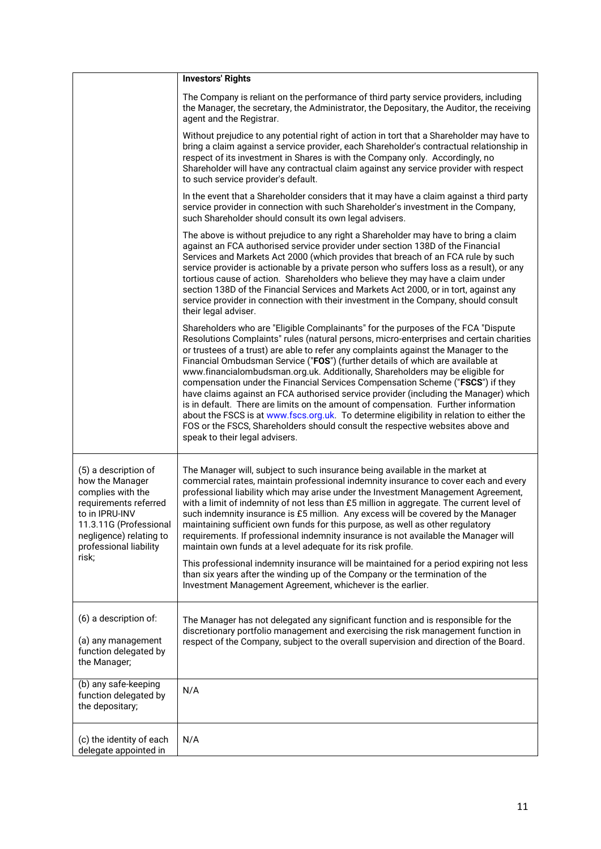|                                                                                                                                                                                                 | <b>Investors' Rights</b>                                                                                                                                                                                                                                                                                                                                                                                                                                                                                                                                                                                                                                                                                                                                                                                                                                                                                                    |  |  |
|-------------------------------------------------------------------------------------------------------------------------------------------------------------------------------------------------|-----------------------------------------------------------------------------------------------------------------------------------------------------------------------------------------------------------------------------------------------------------------------------------------------------------------------------------------------------------------------------------------------------------------------------------------------------------------------------------------------------------------------------------------------------------------------------------------------------------------------------------------------------------------------------------------------------------------------------------------------------------------------------------------------------------------------------------------------------------------------------------------------------------------------------|--|--|
|                                                                                                                                                                                                 | The Company is reliant on the performance of third party service providers, including<br>the Manager, the secretary, the Administrator, the Depositary, the Auditor, the receiving<br>agent and the Registrar.                                                                                                                                                                                                                                                                                                                                                                                                                                                                                                                                                                                                                                                                                                              |  |  |
|                                                                                                                                                                                                 | Without prejudice to any potential right of action in tort that a Shareholder may have to<br>bring a claim against a service provider, each Shareholder's contractual relationship in<br>respect of its investment in Shares is with the Company only. Accordingly, no<br>Shareholder will have any contractual claim against any service provider with respect<br>to such service provider's default.                                                                                                                                                                                                                                                                                                                                                                                                                                                                                                                      |  |  |
|                                                                                                                                                                                                 | In the event that a Shareholder considers that it may have a claim against a third party<br>service provider in connection with such Shareholder's investment in the Company,<br>such Shareholder should consult its own legal advisers.                                                                                                                                                                                                                                                                                                                                                                                                                                                                                                                                                                                                                                                                                    |  |  |
|                                                                                                                                                                                                 | The above is without prejudice to any right a Shareholder may have to bring a claim<br>against an FCA authorised service provider under section 138D of the Financial<br>Services and Markets Act 2000 (which provides that breach of an FCA rule by such<br>service provider is actionable by a private person who suffers loss as a result), or any<br>tortious cause of action. Shareholders who believe they may have a claim under<br>section 138D of the Financial Services and Markets Act 2000, or in tort, against any<br>service provider in connection with their investment in the Company, should consult<br>their legal adviser.                                                                                                                                                                                                                                                                              |  |  |
|                                                                                                                                                                                                 | Shareholders who are "Eligible Complainants" for the purposes of the FCA "Dispute<br>Resolutions Complaints" rules (natural persons, micro-enterprises and certain charities<br>or trustees of a trust) are able to refer any complaints against the Manager to the<br>Financial Ombudsman Service ("FOS") (further details of which are available at<br>www.financialombudsman.org.uk. Additionally, Shareholders may be eligible for<br>compensation under the Financial Services Compensation Scheme ("FSCS") if they<br>have claims against an FCA authorised service provider (including the Manager) which<br>is in default. There are limits on the amount of compensation. Further information<br>about the FSCS is at www.fscs.org.uk. To determine eligibility in relation to either the<br>FOS or the FSCS, Shareholders should consult the respective websites above and<br>speak to their legal advisers.      |  |  |
| (5) a description of<br>how the Manager<br>complies with the<br>requirements referred<br>to in IPRU-INV<br>11.3.11G (Professional<br>negligence) relating to<br>professional liability<br>risk; | The Manager will, subject to such insurance being available in the market at<br>commercial rates, maintain professional indemnity insurance to cover each and every<br>professional liability which may arise under the Investment Management Agreement,<br>with a limit of indemnity of not less than £5 million in aggregate. The current level of<br>such indemnity insurance is £5 million. Any excess will be covered by the Manager<br>maintaining sufficient own funds for this purpose, as well as other regulatory<br>requirements. If professional indemnity insurance is not available the Manager will<br>maintain own funds at a level adequate for its risk profile.<br>This professional indemnity insurance will be maintained for a period expiring not less<br>than six years after the winding up of the Company or the termination of the<br>Investment Management Agreement, whichever is the earlier. |  |  |
| (6) a description of:<br>(a) any management<br>function delegated by<br>the Manager;                                                                                                            | The Manager has not delegated any significant function and is responsible for the<br>discretionary portfolio management and exercising the risk management function in<br>respect of the Company, subject to the overall supervision and direction of the Board.                                                                                                                                                                                                                                                                                                                                                                                                                                                                                                                                                                                                                                                            |  |  |
| (b) any safe-keeping<br>function delegated by<br>the depositary;                                                                                                                                | N/A                                                                                                                                                                                                                                                                                                                                                                                                                                                                                                                                                                                                                                                                                                                                                                                                                                                                                                                         |  |  |
| (c) the identity of each<br>delegate appointed in                                                                                                                                               | N/A                                                                                                                                                                                                                                                                                                                                                                                                                                                                                                                                                                                                                                                                                                                                                                                                                                                                                                                         |  |  |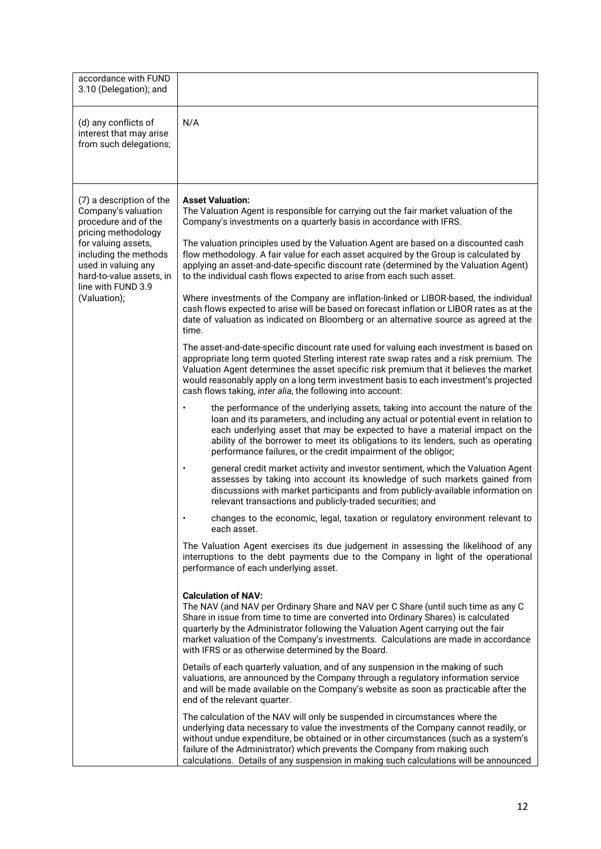| accordance with FUND<br>3.10 (Delegation); and                                                                                                                                                                                          |                                                                                                                                                                                                                                                                                                                                                                                                                                                                                                                                                                                                                                                                                                                                                                                                                                                                                                                                                                                                                                                                                                                                                                                                                                                                                                                                                                                                                                                                                                                                                                                                                                                                                                                                                                                                                                                                                                                                                                                                                                                                                                                                                                                                                                                                                                                                                                                                                                                                                                                                                                                                                                                                                                                                                                                                                                                                                                                                                                                                                                                                                                                                                                                                                                                                                                                                                                                                                                                                                                            |
|-----------------------------------------------------------------------------------------------------------------------------------------------------------------------------------------------------------------------------------------|------------------------------------------------------------------------------------------------------------------------------------------------------------------------------------------------------------------------------------------------------------------------------------------------------------------------------------------------------------------------------------------------------------------------------------------------------------------------------------------------------------------------------------------------------------------------------------------------------------------------------------------------------------------------------------------------------------------------------------------------------------------------------------------------------------------------------------------------------------------------------------------------------------------------------------------------------------------------------------------------------------------------------------------------------------------------------------------------------------------------------------------------------------------------------------------------------------------------------------------------------------------------------------------------------------------------------------------------------------------------------------------------------------------------------------------------------------------------------------------------------------------------------------------------------------------------------------------------------------------------------------------------------------------------------------------------------------------------------------------------------------------------------------------------------------------------------------------------------------------------------------------------------------------------------------------------------------------------------------------------------------------------------------------------------------------------------------------------------------------------------------------------------------------------------------------------------------------------------------------------------------------------------------------------------------------------------------------------------------------------------------------------------------------------------------------------------------------------------------------------------------------------------------------------------------------------------------------------------------------------------------------------------------------------------------------------------------------------------------------------------------------------------------------------------------------------------------------------------------------------------------------------------------------------------------------------------------------------------------------------------------------------------------------------------------------------------------------------------------------------------------------------------------------------------------------------------------------------------------------------------------------------------------------------------------------------------------------------------------------------------------------------------------------------------------------------------------------------------------------------------------|
| (d) any conflicts of<br>interest that may arise<br>from such delegations;                                                                                                                                                               | N/A                                                                                                                                                                                                                                                                                                                                                                                                                                                                                                                                                                                                                                                                                                                                                                                                                                                                                                                                                                                                                                                                                                                                                                                                                                                                                                                                                                                                                                                                                                                                                                                                                                                                                                                                                                                                                                                                                                                                                                                                                                                                                                                                                                                                                                                                                                                                                                                                                                                                                                                                                                                                                                                                                                                                                                                                                                                                                                                                                                                                                                                                                                                                                                                                                                                                                                                                                                                                                                                                                                        |
| (7) a description of the<br>Company's valuation<br>procedure and of the<br>pricing methodology<br>for valuing assets,<br>including the methods<br>used in valuing any<br>hard-to-value assets, in<br>line with FUND 3.9<br>(Valuation); | <b>Asset Valuation:</b><br>The Valuation Agent is responsible for carrying out the fair market valuation of the<br>Company's investments on a quarterly basis in accordance with IFRS.<br>The valuation principles used by the Valuation Agent are based on a discounted cash<br>flow methodology. A fair value for each asset acquired by the Group is calculated by<br>applying an asset-and-date-specific discount rate (determined by the Valuation Agent)<br>to the individual cash flows expected to arise from each such asset.<br>Where investments of the Company are inflation-linked or LIBOR-based, the individual<br>cash flows expected to arise will be based on forecast inflation or LIBOR rates as at the<br>date of valuation as indicated on Bloomberg or an alternative source as agreed at the<br>time.<br>The asset-and-date-specific discount rate used for valuing each investment is based on<br>appropriate long term quoted Sterling interest rate swap rates and a risk premium. The<br>Valuation Agent determines the asset specific risk premium that it believes the market<br>would reasonably apply on a long term investment basis to each investment's projected<br>cash flows taking, inter alia, the following into account:<br>the performance of the underlying assets, taking into account the nature of the<br>loan and its parameters, and including any actual or potential event in relation to<br>each underlying asset that may be expected to have a material impact on the<br>ability of the borrower to meet its obligations to its lenders, such as operating<br>performance failures, or the credit impairment of the obligor;<br>general credit market activity and investor sentiment, which the Valuation Agent<br>assesses by taking into account its knowledge of such markets gained from<br>discussions with market participants and from publicly-available information on<br>relevant transactions and publicly-traded securities; and<br>changes to the economic, legal, taxation or regulatory environment relevant to<br>each asset.<br>The Valuation Agent exercises its due judgement in assessing the likelihood of any<br>interruptions to the debt payments due to the Company in light of the operational<br>performance of each underlying asset.<br><b>Calculation of NAV:</b><br>The NAV (and NAV per Ordinary Share and NAV per C Share (until such time as any C<br>Share in issue from time to time are converted into Ordinary Shares) is calculated<br>quarterly by the Administrator following the Valuation Agent carrying out the fair<br>market valuation of the Company's investments. Calculations are made in accordance<br>with IFRS or as otherwise determined by the Board.<br>Details of each quarterly valuation, and of any suspension in the making of such<br>valuations, are announced by the Company through a regulatory information service<br>and will be made available on the Company's website as soon as practicable after the<br>end of the relevant quarter.<br>The calculation of the NAV will only be suspended in circumstances where the<br>underlying data necessary to value the investments of the Company cannot readily, or<br>without undue expenditure, be obtained or in other circumstances (such as a system's<br>failure of the Administrator) which prevents the Company from making such<br>calculations. Details of any suspension in making such calculations will be announced |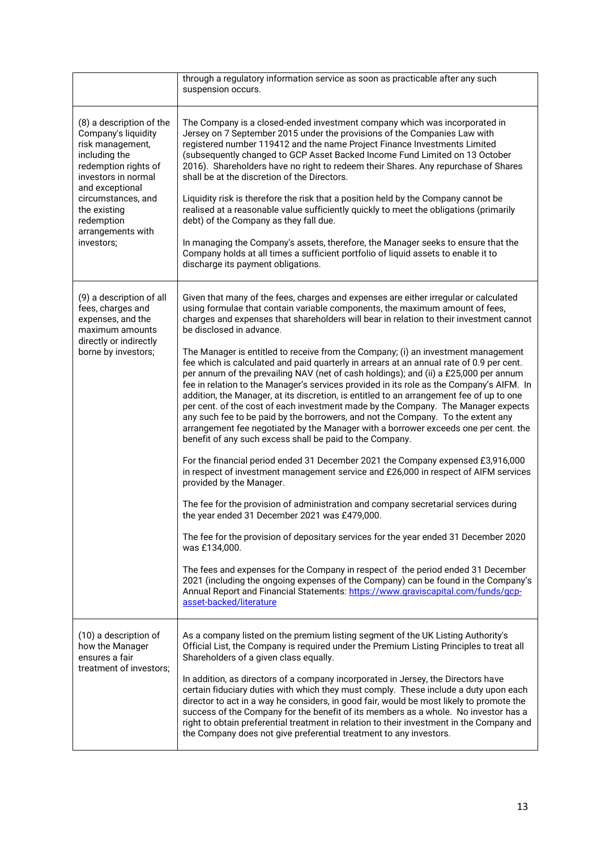|                                                                                                                                                                                                                                               | through a regulatory information service as soon as practicable after any such<br>suspension occurs.                                                                                                                                                                                                                                                                                                                                                                                                                                                                                                                                                                                                                                                                                                                                                                                                                                                                                                                                                                                                                                                                                                                                                                                                                                                                                                                                                                                                                                                                                                                                                                                                                                                                                                                                     |
|-----------------------------------------------------------------------------------------------------------------------------------------------------------------------------------------------------------------------------------------------|------------------------------------------------------------------------------------------------------------------------------------------------------------------------------------------------------------------------------------------------------------------------------------------------------------------------------------------------------------------------------------------------------------------------------------------------------------------------------------------------------------------------------------------------------------------------------------------------------------------------------------------------------------------------------------------------------------------------------------------------------------------------------------------------------------------------------------------------------------------------------------------------------------------------------------------------------------------------------------------------------------------------------------------------------------------------------------------------------------------------------------------------------------------------------------------------------------------------------------------------------------------------------------------------------------------------------------------------------------------------------------------------------------------------------------------------------------------------------------------------------------------------------------------------------------------------------------------------------------------------------------------------------------------------------------------------------------------------------------------------------------------------------------------------------------------------------------------|
| (8) a description of the<br>Company's liquidity<br>risk management,<br>including the<br>redemption rights of<br>investors in normal<br>and exceptional<br>circumstances, and<br>the existing<br>redemption<br>arrangements with<br>investors; | The Company is a closed-ended investment company which was incorporated in<br>Jersey on 7 September 2015 under the provisions of the Companies Law with<br>registered number 119412 and the name Project Finance Investments Limited<br>(subsequently changed to GCP Asset Backed Income Fund Limited on 13 October<br>2016). Shareholders have no right to redeem their Shares. Any repurchase of Shares<br>shall be at the discretion of the Directors.<br>Liquidity risk is therefore the risk that a position held by the Company cannot be<br>realised at a reasonable value sufficiently quickly to meet the obligations (primarily<br>debt) of the Company as they fall due.<br>In managing the Company's assets, therefore, the Manager seeks to ensure that the<br>Company holds at all times a sufficient portfolio of liquid assets to enable it to<br>discharge its payment obligations.                                                                                                                                                                                                                                                                                                                                                                                                                                                                                                                                                                                                                                                                                                                                                                                                                                                                                                                                     |
| (9) a description of all<br>fees, charges and<br>expenses, and the<br>maximum amounts<br>directly or indirectly<br>borne by investors;                                                                                                        | Given that many of the fees, charges and expenses are either irregular or calculated<br>using formulae that contain variable components, the maximum amount of fees,<br>charges and expenses that shareholders will bear in relation to their investment cannot<br>be disclosed in advance.<br>The Manager is entitled to receive from the Company; (i) an investment management<br>fee which is calculated and paid quarterly in arrears at an annual rate of 0.9 per cent.<br>per annum of the prevailing NAV (net of cash holdings); and (ii) a £25,000 per annum<br>fee in relation to the Manager's services provided in its role as the Company's AIFM. In<br>addition, the Manager, at its discretion, is entitled to an arrangement fee of up to one<br>per cent. of the cost of each investment made by the Company. The Manager expects<br>any such fee to be paid by the borrowers, and not the Company. To the extent any<br>arrangement fee negotiated by the Manager with a borrower exceeds one per cent. the<br>benefit of any such excess shall be paid to the Company.<br>For the financial period ended 31 December 2021 the Company expensed £3,916,000<br>in respect of investment management service and £26,000 in respect of AIFM services<br>provided by the Manager.<br>The fee for the provision of administration and company secretarial services during<br>the year ended 31 December 2021 was £479,000.<br>The fee for the provision of depositary services for the year ended 31 December 2020<br>was £134,000.<br>The fees and expenses for the Company in respect of the period ended 31 December<br>2021 (including the ongoing expenses of the Company) can be found in the Company's<br>Annual Report and Financial Statements: https://www.graviscapital.com/funds/gcp-<br>asset-backed/literature |
| (10) a description of<br>how the Manager<br>ensures a fair<br>treatment of investors;                                                                                                                                                         | As a company listed on the premium listing segment of the UK Listing Authority's<br>Official List, the Company is required under the Premium Listing Principles to treat all<br>Shareholders of a given class equally.<br>In addition, as directors of a company incorporated in Jersey, the Directors have<br>certain fiduciary duties with which they must comply. These include a duty upon each<br>director to act in a way he considers, in good fair, would be most likely to promote the<br>success of the Company for the benefit of its members as a whole. No investor has a<br>right to obtain preferential treatment in relation to their investment in the Company and<br>the Company does not give preferential treatment to any investors.                                                                                                                                                                                                                                                                                                                                                                                                                                                                                                                                                                                                                                                                                                                                                                                                                                                                                                                                                                                                                                                                                |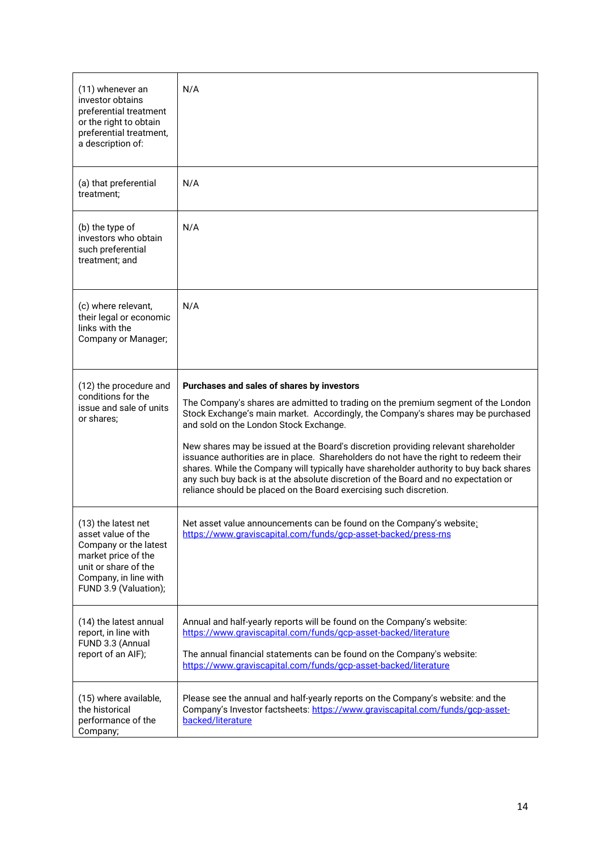| (11) whenever an<br>investor obtains<br>preferential treatment<br>or the right to obtain<br>preferential treatment,<br>a description of:                            | N/A                                                                                                                                                                                                                                                                                                                                                                                                                                                                                                                                                                                                                                                                                               |
|---------------------------------------------------------------------------------------------------------------------------------------------------------------------|---------------------------------------------------------------------------------------------------------------------------------------------------------------------------------------------------------------------------------------------------------------------------------------------------------------------------------------------------------------------------------------------------------------------------------------------------------------------------------------------------------------------------------------------------------------------------------------------------------------------------------------------------------------------------------------------------|
| (a) that preferential<br>treatment;                                                                                                                                 | N/A                                                                                                                                                                                                                                                                                                                                                                                                                                                                                                                                                                                                                                                                                               |
| (b) the type of<br>investors who obtain<br>such preferential<br>treatment; and                                                                                      | N/A                                                                                                                                                                                                                                                                                                                                                                                                                                                                                                                                                                                                                                                                                               |
| (c) where relevant,<br>their legal or economic<br>links with the<br>Company or Manager;                                                                             | N/A                                                                                                                                                                                                                                                                                                                                                                                                                                                                                                                                                                                                                                                                                               |
| (12) the procedure and<br>conditions for the<br>issue and sale of units<br>or shares;                                                                               | Purchases and sales of shares by investors<br>The Company's shares are admitted to trading on the premium segment of the London<br>Stock Exchange's main market. Accordingly, the Company's shares may be purchased<br>and sold on the London Stock Exchange.<br>New shares may be issued at the Board's discretion providing relevant shareholder<br>issuance authorities are in place. Shareholders do not have the right to redeem their<br>shares. While the Company will typically have shareholder authority to buy back shares<br>any such buy back is at the absolute discretion of the Board and no expectation or<br>reliance should be placed on the Board exercising such discretion. |
| (13) the latest net<br>asset value of the<br>Company or the latest<br>market price of the<br>unit or share of the<br>Company, in line with<br>FUND 3.9 (Valuation); | Net asset value announcements can be found on the Company's website:<br>https://www.graviscapital.com/funds/gcp-asset-backed/press-rns                                                                                                                                                                                                                                                                                                                                                                                                                                                                                                                                                            |
| (14) the latest annual<br>report, in line with<br>FUND 3.3 (Annual<br>report of an AIF);                                                                            | Annual and half-yearly reports will be found on the Company's website:<br>https://www.graviscapital.com/funds/gcp-asset-backed/literature<br>The annual financial statements can be found on the Company's website:<br>https://www.graviscapital.com/funds/gcp-asset-backed/literature                                                                                                                                                                                                                                                                                                                                                                                                            |
| (15) where available,<br>the historical<br>performance of the<br>Company;                                                                                           | Please see the annual and half-yearly reports on the Company's website: and the<br>Company's Investor factsheets: https://www.graviscapital.com/funds/gcp-asset-<br>backed/literature                                                                                                                                                                                                                                                                                                                                                                                                                                                                                                             |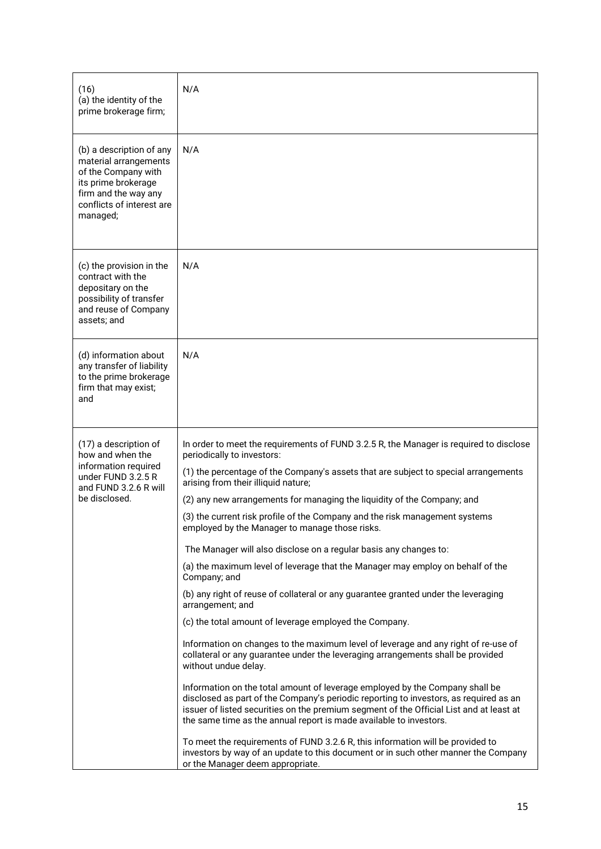| (16)<br>(a) the identity of the<br>prime brokerage firm;                                                                                                         | N/A                                                                                                                                                                                                                                                                                                                                                                                                                                                                                                                                                                                                                                                                                                                                                                                                                                                                                                                                                                                                                                                                                                                                                                                                                                                                                                                                                                                                                                                                                                                                                              |
|------------------------------------------------------------------------------------------------------------------------------------------------------------------|------------------------------------------------------------------------------------------------------------------------------------------------------------------------------------------------------------------------------------------------------------------------------------------------------------------------------------------------------------------------------------------------------------------------------------------------------------------------------------------------------------------------------------------------------------------------------------------------------------------------------------------------------------------------------------------------------------------------------------------------------------------------------------------------------------------------------------------------------------------------------------------------------------------------------------------------------------------------------------------------------------------------------------------------------------------------------------------------------------------------------------------------------------------------------------------------------------------------------------------------------------------------------------------------------------------------------------------------------------------------------------------------------------------------------------------------------------------------------------------------------------------------------------------------------------------|
| (b) a description of any<br>material arrangements<br>of the Company with<br>its prime brokerage<br>firm and the way any<br>conflicts of interest are<br>managed; | N/A                                                                                                                                                                                                                                                                                                                                                                                                                                                                                                                                                                                                                                                                                                                                                                                                                                                                                                                                                                                                                                                                                                                                                                                                                                                                                                                                                                                                                                                                                                                                                              |
| (c) the provision in the<br>contract with the<br>depositary on the<br>possibility of transfer<br>and reuse of Company<br>assets; and                             | N/A                                                                                                                                                                                                                                                                                                                                                                                                                                                                                                                                                                                                                                                                                                                                                                                                                                                                                                                                                                                                                                                                                                                                                                                                                                                                                                                                                                                                                                                                                                                                                              |
| (d) information about<br>any transfer of liability<br>to the prime brokerage<br>firm that may exist;<br>and                                                      | N/A                                                                                                                                                                                                                                                                                                                                                                                                                                                                                                                                                                                                                                                                                                                                                                                                                                                                                                                                                                                                                                                                                                                                                                                                                                                                                                                                                                                                                                                                                                                                                              |
| (17) a description of<br>how and when the<br>information required<br>under FUND 3.2.5 R<br>and FUND 3.2.6 R will<br>be disclosed.                                | In order to meet the requirements of FUND 3.2.5 R, the Manager is required to disclose<br>periodically to investors:<br>(1) the percentage of the Company's assets that are subject to special arrangements<br>arising from their illiquid nature;<br>(2) any new arrangements for managing the liquidity of the Company; and<br>(3) the current risk profile of the Company and the risk management systems<br>employed by the Manager to manage those risks.<br>The Manager will also disclose on a regular basis any changes to:<br>(a) the maximum level of leverage that the Manager may employ on behalf of the<br>Company; and<br>(b) any right of reuse of collateral or any guarantee granted under the leveraging<br>arrangement; and<br>(c) the total amount of leverage employed the Company.<br>Information on changes to the maximum level of leverage and any right of re-use of<br>collateral or any guarantee under the leveraging arrangements shall be provided<br>without undue delay.<br>Information on the total amount of leverage employed by the Company shall be<br>disclosed as part of the Company's periodic reporting to investors, as required as an<br>issuer of listed securities on the premium segment of the Official List and at least at<br>the same time as the annual report is made available to investors.<br>To meet the requirements of FUND 3.2.6 R, this information will be provided to<br>investors by way of an update to this document or in such other manner the Company<br>or the Manager deem appropriate. |